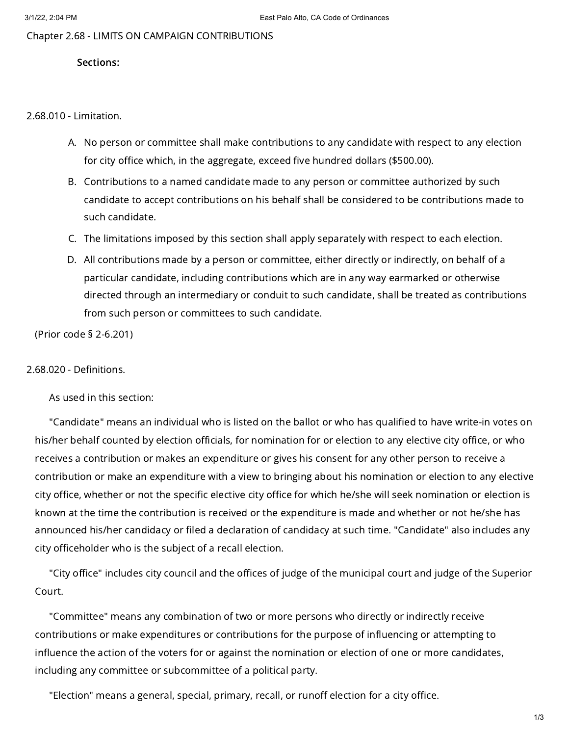Chapter 2.68 - LIMITS ON CAMPAIGN CONTRIBUTIONS

## Sections:

2.68.010 - Limitation.

- A. No person or committee shall make contributions to any candidate with respect to any election for city office which, in the aggregate, exceed five hundred dollars (\$500.00).
- B. Contributions to a named candidate made to any person or committee authorized by such candidate to accept contributions on his behalf shall be considered to be contributions made to such candidate.
- C. The limitations imposed by this section shall apply separately with respect to each election.
- D. All contributions made by a person or committee, either directly or indirectly, on behalf of a particular candidate, including contributions which are in any way earmarked or otherwise directed through an intermediary or conduit to such candidate, shall be treated as contributions from such person or committees to such candidate.

(Prior code § 2-6.201)

## 2.68.020 - Definitions.

As used in this section:

"Candidate" means an individual who is listed on the ballot or who has qualified to have write-in votes on his/her behalf counted by election officials, for nomination for or election to any elective city office, or who receives a contribution or makes an expenditure or gives his consent for any other person to receive a contribution or make an expenditure with a view to bringing about his nomination or election to any elective city office, whether or not the specific elective city office for which he/she will seek nomination or election is known at the time the contribution is received or the expenditure is made and whether or not he/she has announced his/her candidacy or filed a declaration of candidacy at such time. "Candidate" also includes any city officeholder who is the subject of a recall election.

"City office" includes city council and the offices of judge of the municipal court and judge of the Superior Court.

"Committee" means any combination of two or more persons who directly or indirectly receive contributions or make expenditures or contributions for the purpose of influencing or attempting to influence the action of the voters for or against the nomination or election of one or more candidates, including any committee or subcommittee of a political party.

"Election" means a general, special, primary, recall, or runoff election for a city office.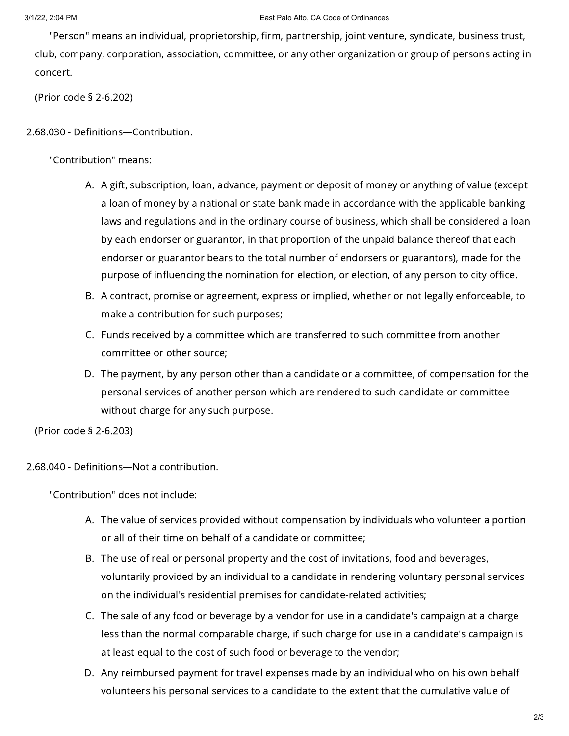"Person" means an individual, proprietorship, firm, partnership, joint venture, syndicate, business trust, club, company, corporation, association, committee, or any other organization or group of persons acting in concert.

(Prior code § 2-6.202)

## 2.68.030 - Definitions—Contribution.

"Contribution" means:

- A. A gift, subscription, loan, advance, payment or deposit of money or anything of value (except a loan of money by a national or state bank made in accordance with the applicable banking laws and regulations and in the ordinary course of business, which shall be considered a loan by each endorser or guarantor, in that proportion of the unpaid balance thereof that each endorser or guarantor bears to the total number of endorsers or guarantors), made for the purpose of influencing the nomination for election, or election, of any person to city office.
- B. A contract, promise or agreement, express or implied, whether or not legally enforceable, to make a contribution for such purposes;
- C. Funds received by a committee which are transferred to such committee from another committee or other source;
- D. The payment, by any person other than a candidate or a committee, of compensation for the personal services of another person which are rendered to such candidate or committee without charge for any such purpose.

(Prior code § 2-6.203)

2.68.040 - Definitions—Not a contribution.

"Contribution" does not include:

- A. The value of services provided without compensation by individuals who volunteer a portion or all of their time on behalf of a candidate or committee;
- B. The use of real or personal property and the cost of invitations, food and beverages, voluntarily provided by an individual to a candidate in rendering voluntary personal services on the individual's residential premises for candidate-related activities;
- C. The sale of any food or beverage by a vendor for use in a candidate's campaign at a charge less than the normal comparable charge, if such charge for use in a candidate's campaign is at least equal to the cost of such food or beverage to the vendor;
- D. Any reimbursed payment for travel expenses made by an individual who on his own behalf volunteers his personal services to a candidate to the extent that the cumulative value of